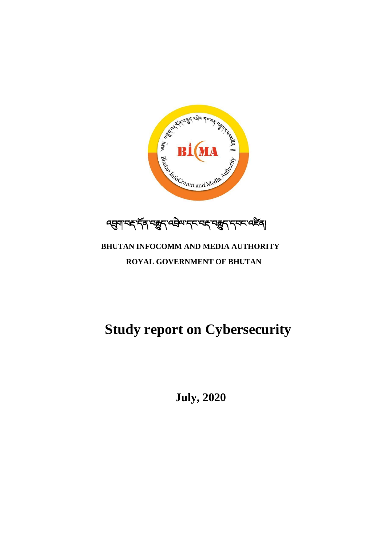**July, 2020**

# **Study report on Cybersecurity**

# **BHUTAN INFOCOMM AND MEDIA AUTHORITY ROYAL GOVERNMENT OF BHUTAN**

्यञ्जुगा महार्देवा सङ्खुदा स्विन्य महाराज्या स्वान्य प्रसिद्धा

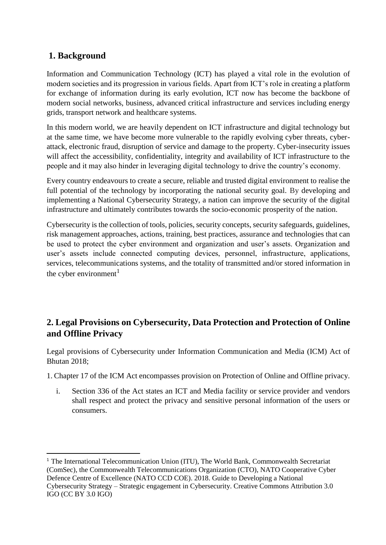### **1. Background**

 $\overline{a}$ 

Information and Communication Technology (ICT) has played a vital role in the evolution of modern societies and its progression in various fields. Apart from ICT's role in creating a platform for exchange of information during its early evolution, ICT now has become the backbone of modern social networks, business, advanced critical infrastructure and services including energy grids, transport network and healthcare systems.

In this modern world, we are heavily dependent on ICT infrastructure and digital technology but at the same time, we have become more vulnerable to the rapidly evolving cyber threats, cyberattack, electronic fraud, disruption of service and damage to the property. Cyber-insecurity issues will affect the accessibility, confidentiality, integrity and availability of ICT infrastructure to the people and it may also hinder in leveraging digital technology to drive the country's economy.

Every country endeavours to create a secure, reliable and trusted digital environment to realise the full potential of the technology by incorporating the national security goal. By developing and implementing a National Cybersecurity Strategy, a nation can improve the security of the digital infrastructure and ultimately contributes towards the socio-economic prosperity of the nation.

Cybersecurity is the collection of tools, policies, security concepts, security safeguards, guidelines, risk management approaches, actions, training, best practices, assurance and technologies that can be used to protect the cyber environment and organization and user's assets. Organization and user's assets include connected computing devices, personnel, infrastructure, applications, services, telecommunications systems, and the totality of transmitted and/or stored information in the cyber environment $<sup>1</sup>$ </sup>

## **2. Legal Provisions on Cybersecurity, Data Protection and Protection of Online and Offline Privacy**

Legal provisions of Cybersecurity under Information Communication and Media (ICM) Act of Bhutan 2018;

1. Chapter 17 of the ICM Act encompasses provision on Protection of Online and Offline privacy.

i. Section 336 of the Act states an ICT and Media facility or service provider and vendors shall respect and protect the privacy and sensitive personal information of the users or consumers.

<sup>&</sup>lt;sup>1</sup> The International Telecommunication Union (ITU), The World Bank, Commonwealth Secretariat (ComSec), the Commonwealth Telecommunications Organization (CTO), NATO Cooperative Cyber Defence Centre of Excellence (NATO CCD COE). 2018. Guide to Developing a National Cybersecurity Strategy – Strategic engagement in Cybersecurity. Creative Commons Attribution 3.0 IGO (CC BY 3.0 IGO)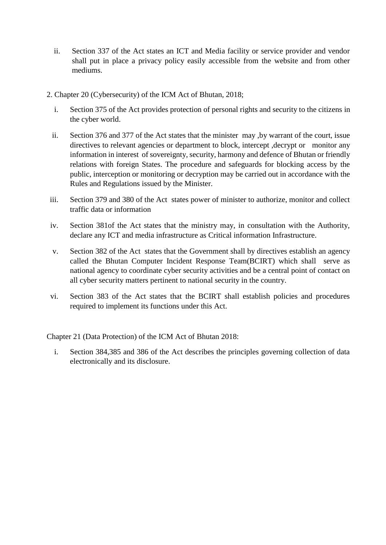- ii. Section 337 of the Act states an ICT and Media facility or service provider and vendor shall put in place a privacy policy easily accessible from the website and from other mediums.
- 2. Chapter 20 (Cybersecurity) of the ICM Act of Bhutan, 2018;
	- i. Section 375 of the Act provides protection of personal rights and security to the citizens in the cyber world.
	- ii. Section 376 and 377 of the Act states that the minister may ,by warrant of the court, issue directives to relevant agencies or department to block, intercept ,decrypt or monitor any information in interest of sovereignty, security, harmony and defence of Bhutan or friendly relations with foreign States. The procedure and safeguards for blocking access by the public, interception or monitoring or decryption may be carried out in accordance with the Rules and Regulations issued by the Minister.
- iii. Section 379 and 380 of the Act states power of minister to authorize, monitor and collect traffic data or information
- iv. Section 381of the Act states that the ministry may, in consultation with the Authority, declare any ICT and media infrastructure as Critical information Infrastructure.
- v. Section 382 of the Act states that the Government shall by directives establish an agency called the Bhutan Computer Incident Response Team(BCIRT) which shall serve as national agency to coordinate cyber security activities and be a central point of contact on all cyber security matters pertinent to national security in the country.
- vi. Section 383 of the Act states that the BCIRT shall establish policies and procedures required to implement its functions under this Act.

Chapter 21 (Data Protection) of the ICM Act of Bhutan 2018:

i. Section 384,385 and 386 of the Act describes the principles governing collection of data electronically and its disclosure.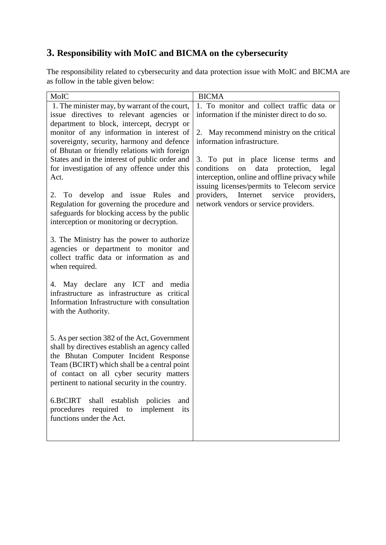# **3. Responsibility with MoIC and BICMA on the cybersecurity**

The responsibility related to cybersecurity and data protection issue with MoIC and BICMA are as follow in the table given below:

| MoIC                                                                                      | <b>BICMA</b>                                     |
|-------------------------------------------------------------------------------------------|--------------------------------------------------|
| 1. The minister may, by warrant of the court,                                             | 1. To monitor and collect traffic data or        |
| issue directives to relevant agencies or                                                  | information if the minister direct to do so.     |
| department to block, intercept, decrypt or                                                |                                                  |
| monitor of any information in interest of                                                 | 2. May recommend ministry on the critical        |
| sovereignty, security, harmony and defence                                                | information infrastructure.                      |
| of Bhutan or friendly relations with foreign                                              |                                                  |
| States and in the interest of public order and                                            | 3. To put in place license terms<br>and          |
| for investigation of any offence under this                                               | data<br>conditions<br>protection,<br>on<br>legal |
| Act.                                                                                      | interception, online and offline privacy while   |
|                                                                                           | issuing licenses/permits to Telecom service      |
| 2. To develop and issue Rules<br>and                                                      | providers,<br>Internet service providers,        |
| Regulation for governing the procedure and                                                | network vendors or service providers.            |
| safeguards for blocking access by the public<br>interception or monitoring or decryption. |                                                  |
|                                                                                           |                                                  |
| 3. The Ministry has the power to authorize                                                |                                                  |
| agencies or department to monitor and                                                     |                                                  |
| collect traffic data or information as and                                                |                                                  |
| when required.                                                                            |                                                  |
|                                                                                           |                                                  |
| 4. May declare any ICT and media                                                          |                                                  |
| infrastructure as infrastructure as critical                                              |                                                  |
| Information Infrastructure with consultation                                              |                                                  |
| with the Authority.                                                                       |                                                  |
|                                                                                           |                                                  |
|                                                                                           |                                                  |
| 5. As per section 382 of the Act, Government                                              |                                                  |
| shall by directives establish an agency called                                            |                                                  |
| the Bhutan Computer Incident Response                                                     |                                                  |
| Team (BCIRT) which shall be a central point<br>of contact on all cyber security matters   |                                                  |
| pertinent to national security in the country.                                            |                                                  |
|                                                                                           |                                                  |
| 6.BtCIRT<br>shall establish policies<br>and                                               |                                                  |
| procedures<br>required to implement<br>its                                                |                                                  |
| functions under the Act.                                                                  |                                                  |
|                                                                                           |                                                  |
|                                                                                           |                                                  |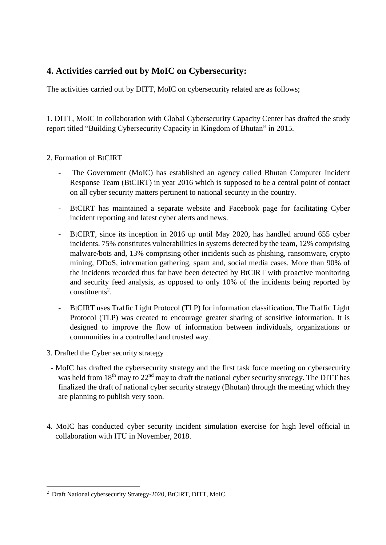### **4. Activities carried out by MoIC on Cybersecurity:**

The activities carried out by DITT, MoIC on cybersecurity related are as follows;

1. DITT, MoIC in collaboration with Global Cybersecurity Capacity Center has drafted the study report titled "Building Cybersecurity Capacity in Kingdom of Bhutan" in 2015.

#### 2. Formation of BtCIRT

- The Government (MoIC) has established an agency called Bhutan Computer Incident Response Team (BtCIRT) in year 2016 which is supposed to be a central point of contact on all cyber security matters pertinent to national security in the country.
- BtCIRT has maintained a separate website and Facebook page for facilitating Cyber incident reporting and latest cyber alerts and news.
- BtCIRT, since its inception in 2016 up until May 2020, has handled around 655 cyber incidents. 75% constitutes vulnerabilities in systems detected by the team, 12% comprising malware/bots and, 13% comprising other incidents such as phishing, ransomware, crypto mining, DDoS, information gathering, spam and, social media cases. More than 90% of the incidents recorded thus far have been detected by BtCIRT with proactive monitoring and security feed analysis, as opposed to only 10% of the incidents being reported by  $constituents<sup>2</sup>$ .
- BtCIRT uses Traffic Light Protocol (TLP) for information classification. The Traffic Light Protocol (TLP) was created to encourage greater sharing of sensitive information. It is designed to improve the flow of information between individuals, organizations or communities in a controlled and trusted way.
- 3. Drafted the Cyber security strategy

 $\overline{a}$ 

- MoIC has drafted the cybersecurity strategy and the first task force meeting on cybersecurity was held from  $18<sup>th</sup>$  may to  $22<sup>nd</sup>$  may to draft the national cyber security strategy. The DITT has finalized the draft of national cyber security strategy (Bhutan) through the meeting which they are planning to publish very soon.
- 4. MoIC has conducted cyber security incident simulation exercise for high level official in collaboration with ITU in November, 2018.

<sup>&</sup>lt;sup>2</sup> Draft National cybersecurity Strategy-2020, BtCIRT, DITT, MoIC.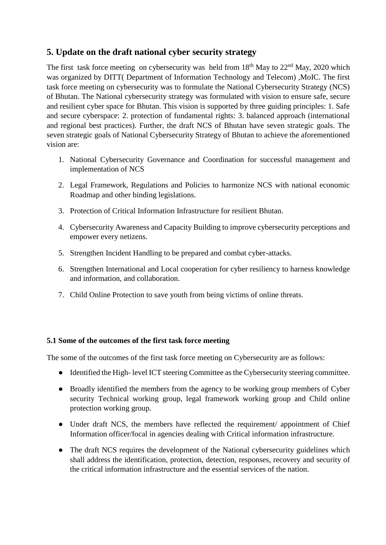#### **5. Update on the draft national cyber security strategy**

The first task force meeting on cybersecurity was held from  $18<sup>th</sup>$  May to  $22<sup>nd</sup>$  May, 2020 which was organized by DITT( Department of Information Technology and Telecom) , MoIC. The first task force meeting on cybersecurity was to formulate the National Cybersecurity Strategy (NCS) of Bhutan. The National cybersecurity strategy was formulated with vision to ensure safe, secure and resilient cyber space for Bhutan. This vision is supported by three guiding principles: 1. Safe and secure cyberspace: 2. protection of fundamental rights: 3. balanced approach (international and regional best practices). Further, the draft NCS of Bhutan have seven strategic goals. The seven strategic goals of National Cybersecurity Strategy of Bhutan to achieve the aforementioned vision are:

- 1. National Cybersecurity Governance and Coordination for successful management and implementation of NCS
- 2. Legal Framework, Regulations and Policies to harmonize NCS with national economic Roadmap and other binding legislations.
- 3. Protection of Critical Information Infrastructure for resilient Bhutan.
- 4. Cybersecurity Awareness and Capacity Building to improve cybersecurity perceptions and empower every netizens.
- 5. Strengthen Incident Handling to be prepared and combat cyber-attacks.
- 6. Strengthen International and Local cooperation for cyber resiliency to harness knowledge and information, and collaboration.
- 7. Child Online Protection to save youth from being victims of online threats.

#### **5.1 Some of the outcomes of the first task force meeting**

The some of the outcomes of the first task force meeting on Cybersecurity are as follows:

- Identified the High- level ICT steering Committee as the Cybersecurity steering committee.
- Broadly identified the members from the agency to be working group members of Cyber security Technical working group, legal framework working group and Child online protection working group.
- Under draft NCS, the members have reflected the requirement/ appointment of Chief Information officer/focal in agencies dealing with Critical information infrastructure.
- The draft NCS requires the development of the National cybersecurity guidelines which shall address the identification, protection, detection, responses, recovery and security of the critical information infrastructure and the essential services of the nation.